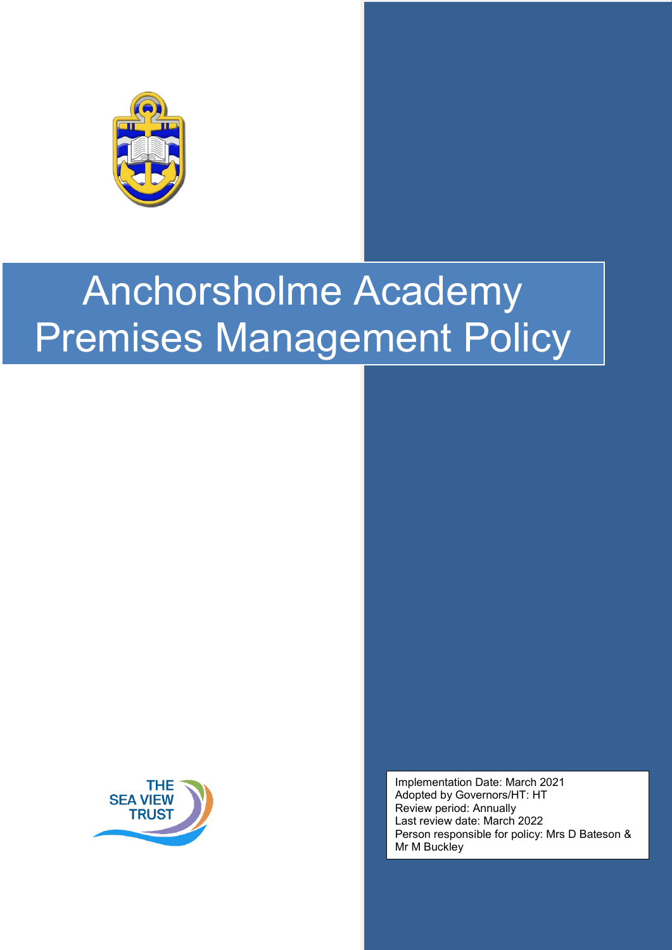



Implementation Date: March 2021 Adopted by Governors/HT: HT Review period: Annually Last review date: March 2022 Person responsible for policy: Mrs D Bateson & Mr M Buckley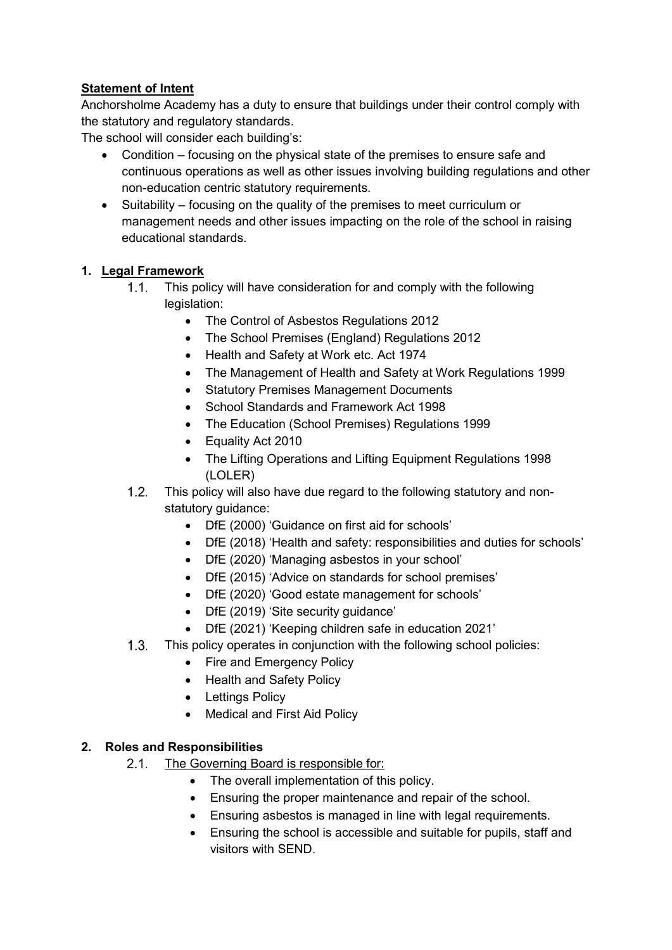## **Statement of Intent**

Anchorsholme Academy has a duty to ensure that buildings under their control comply with the statutory and regulatory standards.

The school will consider each building's:

- Condition focusing on the physical state of the premises to ensure safe and continuous operations as well as other issues involving building regulations and other non-education centric statutory requirements.
- Suitability focusing on the quality of the premises to meet curriculum or management needs and other issues impacting on the role of the school in raising educational standards.

#### **1. Legal Framework**

- $1.1.$ This policy will have consideration for and comply with the following legislation:
	- The Control of Asbestos Regulations 2012
	- The School Premises (England) Regulations 2012
	- Health and Safety at Work etc. Act 1974
	- The Management of Health and Safety at Work Regulations 1999
	- Statutory Premises Management Documents
	- School Standards and Framework Act 1998
	- The Education (School Premises) Regulations 1999
	- Equality Act 2010
	- The Lifting Operations and Lifting Equipment Regulations 1998 (LOLER)
- $1.2$ This policy will also have due regard to the following statutory and nonstatutory guidance:
	- DfE (2000) 'Guidance on first aid for schools'
	- DfE (2018) 'Health and safety: responsibilities and duties for schools'
	- DfE (2020) 'Managing asbestos in your school'
	- DfE (2015) 'Advice on standards for school premises'
	- DfE (2020) 'Good estate management for schools'
	- DfE (2019) 'Site security guidance'
	- DfE (2021) 'Keeping children safe in education 2021'
- $1.3.$ This policy operates in conjunction with the following school policies:
	- Fire and Emergency Policy
	- Health and Safety Policy
	- Lettings Policy
	- Medical and First Aid Policy

#### **2. Roles and Responsibilities**

- $2.1.$ The Governing Board is responsible for:
	- The overall implementation of this policy.
	- Ensuring the proper maintenance and repair of the school.
	- Ensuring asbestos is managed in line with legal requirements.
	- Ensuring the school is accessible and suitable for pupils, staff and visitors with SEND.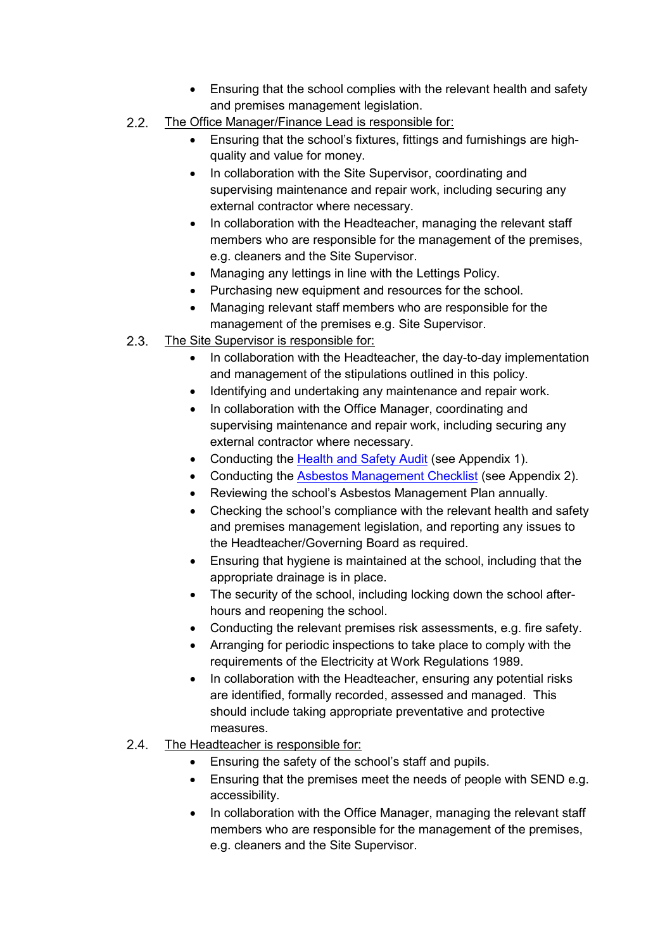- Ensuring that the school complies with the relevant health and safety and premises management legislation.
- $2.2.$ The Office Manager/Finance Lead is responsible for:
	- Ensuring that the school's fixtures, fittings and furnishings are highquality and value for money.
	- In collaboration with the Site Supervisor, coordinating and supervising maintenance and repair work, including securing any external contractor where necessary.
	- In collaboration with the Headteacher, managing the relevant staff members who are responsible for the management of the premises, e.g. cleaners and the Site Supervisor.
	- Managing any lettings in line with the Lettings Policy.
	- Purchasing new equipment and resources for the school.
	- Managing relevant staff members who are responsible for the management of the premises e.g. Site Supervisor.
- $2.3.$ The Site Supervisor is responsible for:
	- In collaboration with the Headteacher, the day-to-day implementation and management of the stipulations outlined in this policy.
	- Identifying and undertaking any maintenance and repair work.
	- In collaboration with the Office Manager, coordinating and supervising maintenance and repair work, including securing any external contractor where necessary.
	- Conducting the [Health and Safety Audit](#page-11-0) (see Appendix 1).
	- Conducting the [Asbestos Management Checklist](#page-16-0) (see Appendix 2).
	- Reviewing the school's Asbestos Management Plan annually.
	- Checking the school's compliance with the relevant health and safety and premises management legislation, and reporting any issues to the Headteacher/Governing Board as required.
	- Ensuring that hygiene is maintained at the school, including that the appropriate drainage is in place.
	- The security of the school, including locking down the school afterhours and reopening the school.
	- Conducting the relevant premises risk assessments, e.g. fire safety.
	- Arranging for periodic inspections to take place to comply with the requirements of the Electricity at Work Regulations 1989.
	- In collaboration with the Headteacher, ensuring any potential risks are identified, formally recorded, assessed and managed. This should include taking appropriate preventative and protective measures.
- $2.4$ The Headteacher is responsible for:
	- Ensuring the safety of the school's staff and pupils.
	- Ensuring that the premises meet the needs of people with SEND e.g. accessibility.
	- In collaboration with the Office Manager, managing the relevant staff members who are responsible for the management of the premises, e.g. cleaners and the Site Supervisor.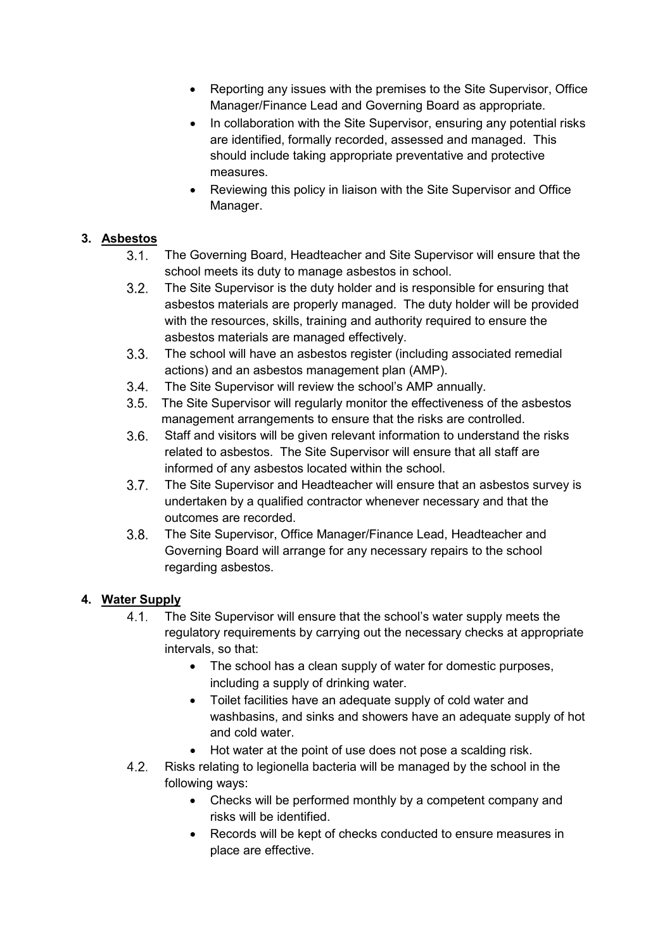- Reporting any issues with the premises to the Site Supervisor, Office Manager/Finance Lead and Governing Board as appropriate.
- In collaboration with the Site Supervisor, ensuring any potential risks are identified, formally recorded, assessed and managed. This should include taking appropriate preventative and protective measures.
- Reviewing this policy in liaison with the Site Supervisor and Office Manager.

#### **3. Asbestos**

- $3.1.$ The Governing Board, Headteacher and Site Supervisor will ensure that the school meets its duty to manage asbestos in school.
- $3.2.$ The Site Supervisor is the duty holder and is responsible for ensuring that asbestos materials are properly managed. The duty holder will be provided with the resources, skills, training and authority required to ensure the asbestos materials are managed effectively.
- $3.3.$ The school will have an asbestos register (including associated remedial actions) and an asbestos management plan (AMP).
- $3.4.$ The Site Supervisor will review the school's AMP annually.
- $3.5.$ The Site Supervisor will regularly monitor the effectiveness of the asbestos management arrangements to ensure that the risks are controlled.
- $3.6.$ Staff and visitors will be given relevant information to understand the risks related to asbestos. The Site Supervisor will ensure that all staff are informed of any asbestos located within the school.
- $3.7.$ The Site Supervisor and Headteacher will ensure that an asbestos survey is undertaken by a qualified contractor whenever necessary and that the outcomes are recorded.
- $3.8.$ The Site Supervisor, Office Manager/Finance Lead, Headteacher and Governing Board will arrange for any necessary repairs to the school regarding asbestos.

## **4. Water Supply**

- $4.1.$ The Site Supervisor will ensure that the school's water supply meets the regulatory requirements by carrying out the necessary checks at appropriate intervals, so that:
	- The school has a clean supply of water for domestic purposes, including a supply of drinking water.
	- Toilet facilities have an adequate supply of cold water and washbasins, and sinks and showers have an adequate supply of hot and cold water.
	- Hot water at the point of use does not pose a scalding risk.
- Risks relating to legionella bacteria will be managed by the school in the  $4.2$ following ways:
	- Checks will be performed monthly by a competent company and risks will be identified.
	- Records will be kept of checks conducted to ensure measures in place are effective.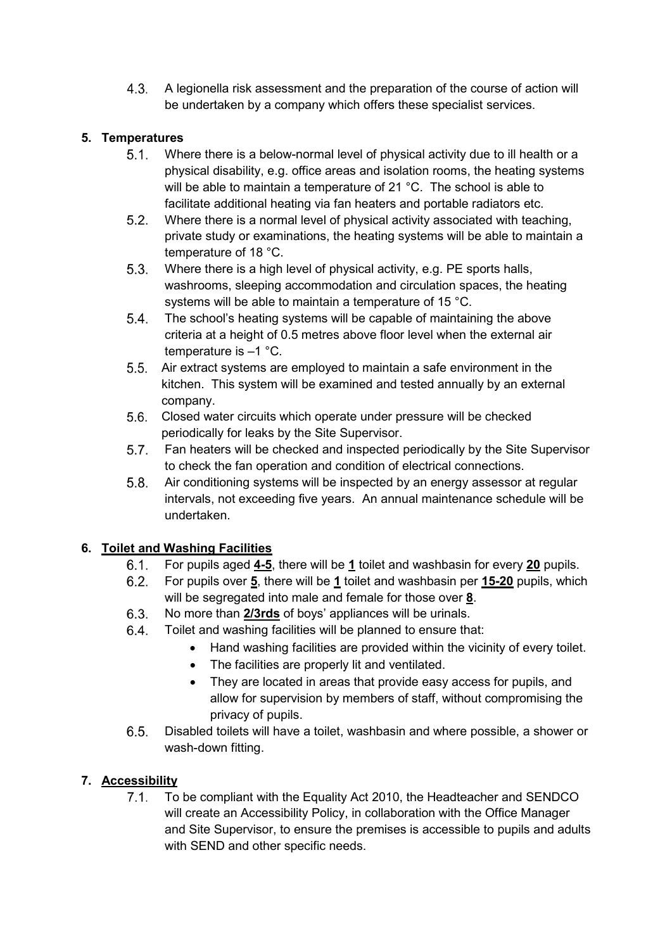$4.3.$ A legionella risk assessment and the preparation of the course of action will be undertaken by a company which offers these specialist services.

## **5. Temperatures**

- $5.1.$ Where there is a below-normal level of physical activity due to ill health or a physical disability, e.g. office areas and isolation rooms, the heating systems will be able to maintain a temperature of 21 °C. The school is able to facilitate additional heating via fan heaters and portable radiators etc.
- $5.2.$ Where there is a normal level of physical activity associated with teaching, private study or examinations, the heating systems will be able to maintain a temperature of 18 °C.
- $5.3.$ Where there is a high level of physical activity, e.g. PE sports halls, washrooms, sleeping accommodation and circulation spaces, the heating systems will be able to maintain a temperature of 15 °C.
- $5.4.$ The school's heating systems will be capable of maintaining the above criteria at a height of 0.5 metres above floor level when the external air temperature is –1 °C.
- $5.5.$ Air extract systems are employed to maintain a safe environment in the kitchen. This system will be examined and tested annually by an external company.
- Closed water circuits which operate under pressure will be checked periodically for leaks by the Site Supervisor.
- $5.7.$ Fan heaters will be checked and inspected periodically by the Site Supervisor to check the fan operation and condition of electrical connections.
- Air conditioning systems will be inspected by an energy assessor at regular  $5.8.$ intervals, not exceeding five years. An annual maintenance schedule will be undertaken.

## **6. Toilet and Washing Facilities**

- For pupils aged **4-5**, there will be **1** toilet and washbasin for every **20** pupils.  $6.1.$
- For pupils over **5**, there will be **1** toilet and washbasin per **15-20** pupils, which  $6.2.$ will be segregated into male and female for those over **8**.
- $6.3.$ No more than **2/3rds** of boys' appliances will be urinals.
- Toilet and washing facilities will be planned to ensure that:  $6.4.$ 
	- Hand washing facilities are provided within the vicinity of every toilet.
		- The facilities are properly lit and ventilated.
		- They are located in areas that provide easy access for pupils, and allow for supervision by members of staff, without compromising the privacy of pupils.
- Disabled toilets will have a toilet, washbasin and where possible, a shower or  $6.5.$ wash-down fitting.

## **7. Accessibility**

 $7.1.$ To be compliant with the Equality Act 2010, the Headteacher and SENDCO will create an Accessibility Policy, in collaboration with the Office Manager and Site Supervisor, to ensure the premises is accessible to pupils and adults with SEND and other specific needs.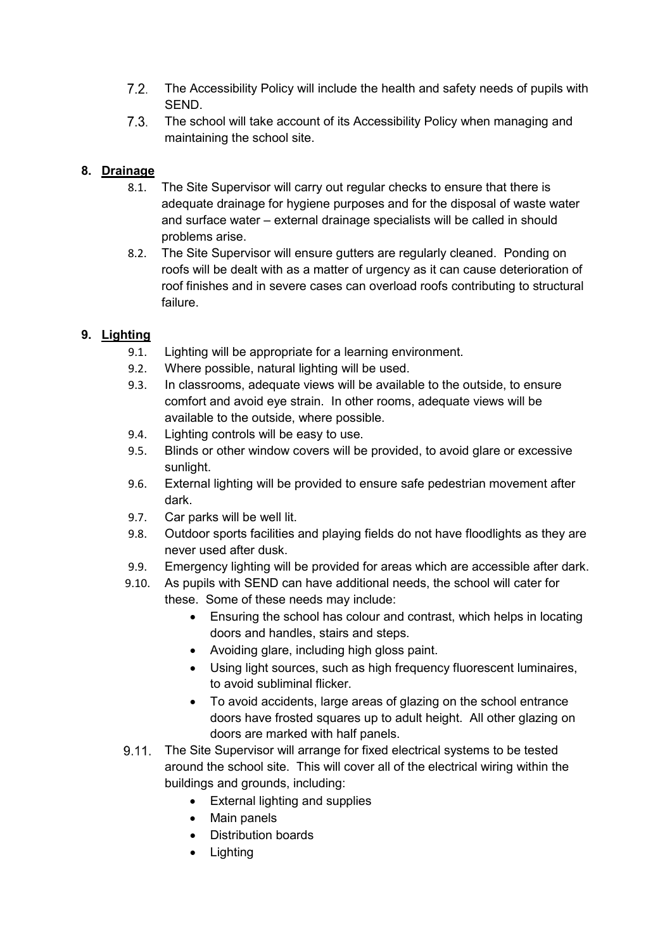- $7.2.$ The Accessibility Policy will include the health and safety needs of pupils with SEND.
- $7.3.$ The school will take account of its Accessibility Policy when managing and maintaining the school site.

## **8. Drainage**

- 8.1. The Site Supervisor will carry out regular checks to ensure that there is adequate drainage for hygiene purposes and for the disposal of waste water and surface water – external drainage specialists will be called in should problems arise.
- 8.2. The Site Supervisor will ensure gutters are regularly cleaned. Ponding on roofs will be dealt with as a matter of urgency as it can cause deterioration of roof finishes and in severe cases can overload roofs contributing to structural failure.

## **9. Lighting**

- 9.1. Lighting will be appropriate for a learning environment.
- 9.2. Where possible, natural lighting will be used.
- 9.3. In classrooms, adequate views will be available to the outside, to ensure comfort and avoid eye strain. In other rooms, adequate views will be available to the outside, where possible.
- 9.4. Lighting controls will be easy to use.
- 9.5. Blinds or other window covers will be provided, to avoid glare or excessive sunlight.
- 9.6. External lighting will be provided to ensure safe pedestrian movement after dark.
- 9.7. Car parks will be well lit.
- 9.8. Outdoor sports facilities and playing fields do not have floodlights as they are never used after dusk.
- 9.9. Emergency lighting will be provided for areas which are accessible after dark.
- 9.10. As pupils with SEND can have additional needs, the school will cater for these. Some of these needs may include:
	- Ensuring the school has colour and contrast, which helps in locating doors and handles, stairs and steps.
	- Avoiding glare, including high gloss paint.
	- Using light sources, such as high frequency fluorescent luminaires, to avoid subliminal flicker.
	- To avoid accidents, large areas of glazing on the school entrance doors have frosted squares up to adult height. All other glazing on doors are marked with half panels.
- The Site Supervisor will arrange for fixed electrical systems to be tested around the school site. This will cover all of the electrical wiring within the buildings and grounds, including:
	- External lighting and supplies
	- Main panels
	- Distribution boards
	- Lighting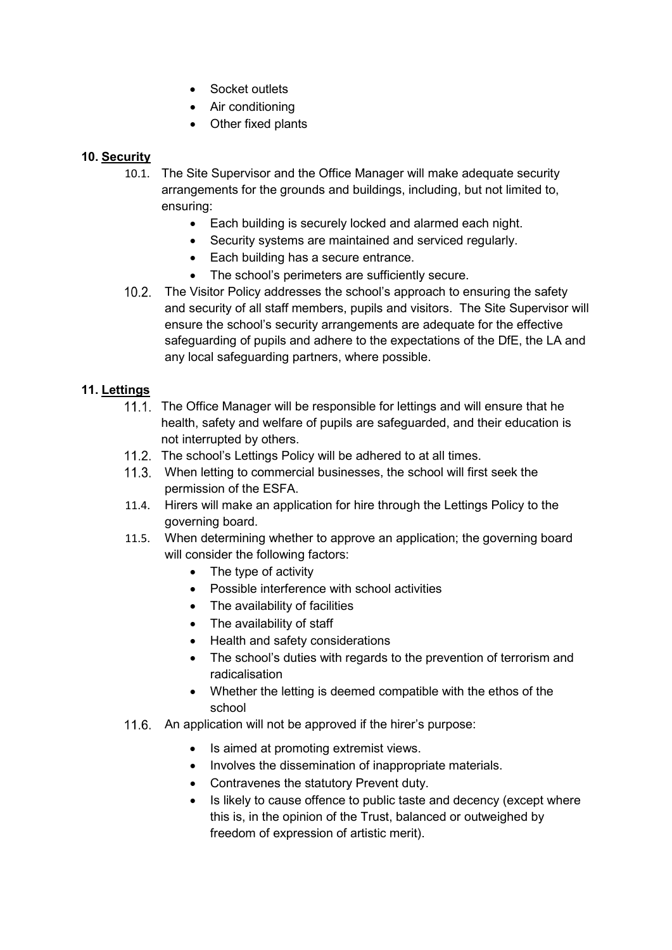- Socket outlets
- Air conditioning
- Other fixed plants

#### **10. Security**

- 10.1. The Site Supervisor and the Office Manager will make adequate security arrangements for the grounds and buildings, including, but not limited to, ensuring:
	- Each building is securely locked and alarmed each night.
	- Security systems are maintained and serviced regularly.
	- Each building has a secure entrance.
	- The school's perimeters are sufficiently secure.
- The Visitor Policy addresses the school's approach to ensuring the safety and security of all staff members, pupils and visitors. The Site Supervisor will ensure the school's security arrangements are adequate for the effective safeguarding of pupils and adhere to the expectations of the DfE, the LA and any local safeguarding partners, where possible.

#### **11. Lettings**

- 11.1. The Office Manager will be responsible for lettings and will ensure that he health, safety and welfare of pupils are safeguarded, and their education is not interrupted by others.
- 11.2. The school's Lettings Policy will be adhered to at all times.
- When letting to commercial businesses, the school will first seek the permission of the ESFA.
- 11.4. Hirers will make an application for hire through the Lettings Policy to the governing board.
- 11.5. When determining whether to approve an application; the governing board will consider the following factors:
	- The type of activity
	- Possible interference with school activities
	- The availability of facilities
	- The availability of staff
	- Health and safety considerations
	- The school's duties with regards to the prevention of terrorism and radicalisation
	- Whether the letting is deemed compatible with the ethos of the school
- 11.6. An application will not be approved if the hirer's purpose:
	- Is aimed at promoting extremist views.
	- Involves the dissemination of inappropriate materials.
	- Contravenes the statutory Prevent duty.
	- Is likely to cause offence to public taste and decency (except where this is, in the opinion of the Trust, balanced or outweighed by freedom of expression of artistic merit).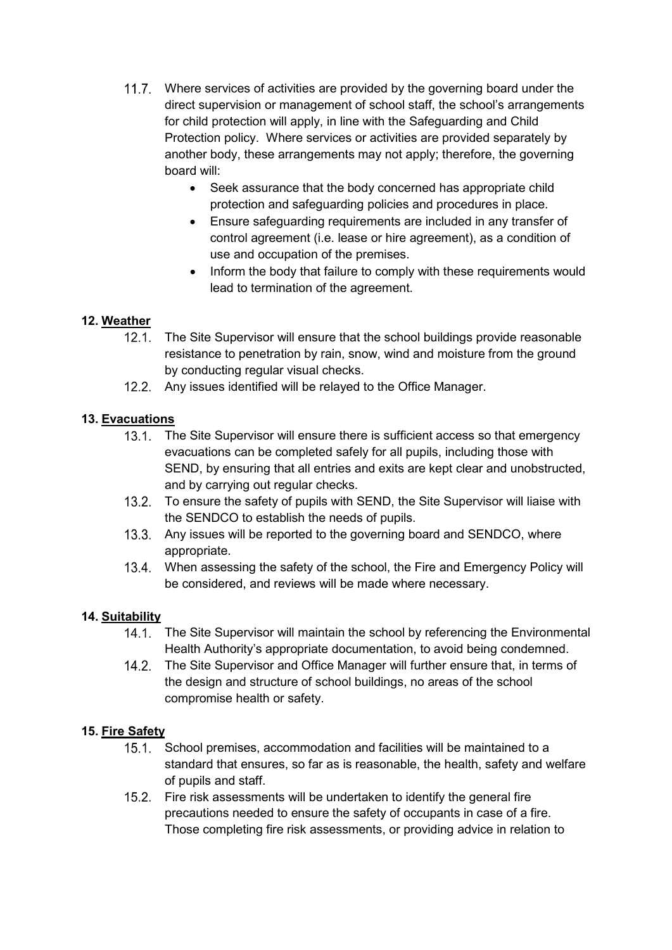- 11.7. Where services of activities are provided by the governing board under the direct supervision or management of school staff, the school's arrangements for child protection will apply, in line with the Safeguarding and Child Protection policy. Where services or activities are provided separately by another body, these arrangements may not apply; therefore, the governing board will:
	- Seek assurance that the body concerned has appropriate child protection and safeguarding policies and procedures in place.
	- Ensure safeguarding requirements are included in any transfer of control agreement (i.e. lease or hire agreement), as a condition of use and occupation of the premises.
	- Inform the body that failure to comply with these requirements would lead to termination of the agreement.

## **12. Weather**

- 12.1. The Site Supervisor will ensure that the school buildings provide reasonable resistance to penetration by rain, snow, wind and moisture from the ground by conducting regular visual checks.
- 12.2. Any issues identified will be relayed to the Office Manager.

## **13. Evacuations**

- 13.1. The Site Supervisor will ensure there is sufficient access so that emergency evacuations can be completed safely for all pupils, including those with SEND, by ensuring that all entries and exits are kept clear and unobstructed, and by carrying out regular checks.
- 13.2. To ensure the safety of pupils with SEND, the Site Supervisor will liaise with the SENDCO to establish the needs of pupils.
- 13.3. Any issues will be reported to the governing board and SENDCO, where appropriate.
- When assessing the safety of the school, the Fire and Emergency Policy will be considered, and reviews will be made where necessary.

#### **14. Suitability**

- The Site Supervisor will maintain the school by referencing the Environmental Health Authority's appropriate documentation, to avoid being condemned.
- 14.2. The Site Supervisor and Office Manager will further ensure that, in terms of the design and structure of school buildings, no areas of the school compromise health or safety.

## **15. Fire Safety**

- 15.1. School premises, accommodation and facilities will be maintained to a standard that ensures, so far as is reasonable, the health, safety and welfare of pupils and staff.
- 15.2. Fire risk assessments will be undertaken to identify the general fire precautions needed to ensure the safety of occupants in case of a fire. Those completing fire risk assessments, or providing advice in relation to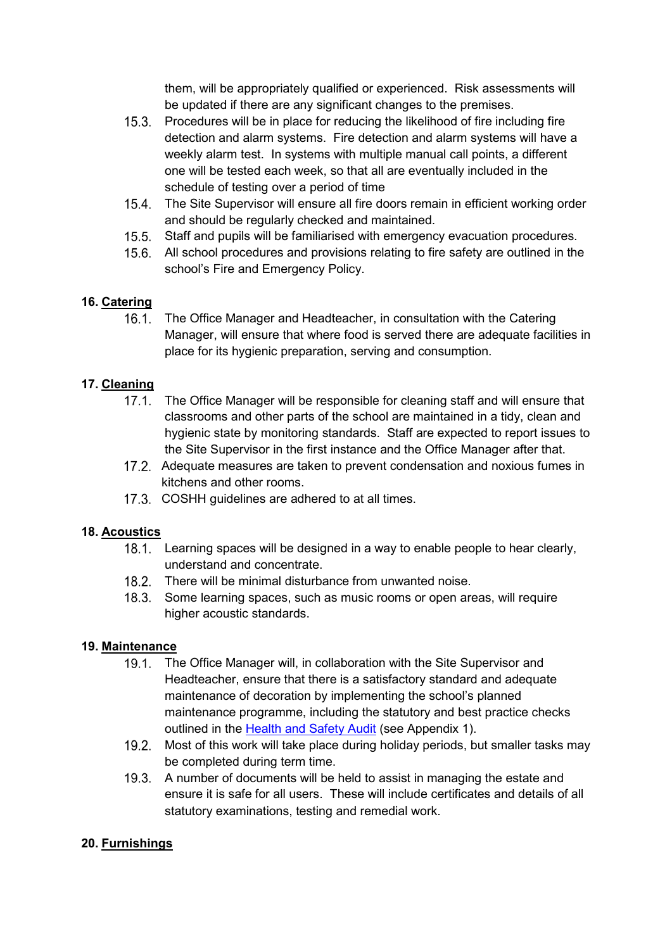them, will be appropriately qualified or experienced. Risk assessments will be updated if there are any significant changes to the premises.

- 15.3. Procedures will be in place for reducing the likelihood of fire including fire detection and alarm systems. Fire detection and alarm systems will have a weekly alarm test. In systems with multiple manual call points, a different one will be tested each week, so that all are eventually included in the schedule of testing over a period of time
- 15.4. The Site Supervisor will ensure all fire doors remain in efficient working order and should be regularly checked and maintained.
- 15.5. Staff and pupils will be familiarised with emergency evacuation procedures.
- 15.6. All school procedures and provisions relating to fire safety are outlined in the school's Fire and Emergency Policy.

#### **16. Catering**

 $16.1.$ The Office Manager and Headteacher, in consultation with the Catering Manager, will ensure that where food is served there are adequate facilities in place for its hygienic preparation, serving and consumption.

#### **17. Cleaning**

- 17.1. The Office Manager will be responsible for cleaning staff and will ensure that classrooms and other parts of the school are maintained in a tidy, clean and hygienic state by monitoring standards. Staff are expected to report issues to the Site Supervisor in the first instance and the Office Manager after that.
- Adequate measures are taken to prevent condensation and noxious fumes in kitchens and other rooms.
- 17.3. COSHH guidelines are adhered to at all times.

#### **18. Acoustics**

- 18.1. Learning spaces will be designed in a way to enable people to hear clearly, understand and concentrate.
- 18.2. There will be minimal disturbance from unwanted noise.
- 18.3. Some learning spaces, such as music rooms or open areas, will require higher acoustic standards.

#### **19. Maintenance**

- 19.1. The Office Manager will, in collaboration with the Site Supervisor and Headteacher, ensure that there is a satisfactory standard and adequate maintenance of decoration by implementing the school's planned maintenance programme, including the statutory and best practice checks outlined in the Health [and Safety Audit](#page-11-0) (see Appendix 1).
- 19.2. Most of this work will take place during holiday periods, but smaller tasks may be completed during term time.
- 19.3. A number of documents will be held to assist in managing the estate and ensure it is safe for all users. These will include certificates and details of all statutory examinations, testing and remedial work.

#### **20. Furnishings**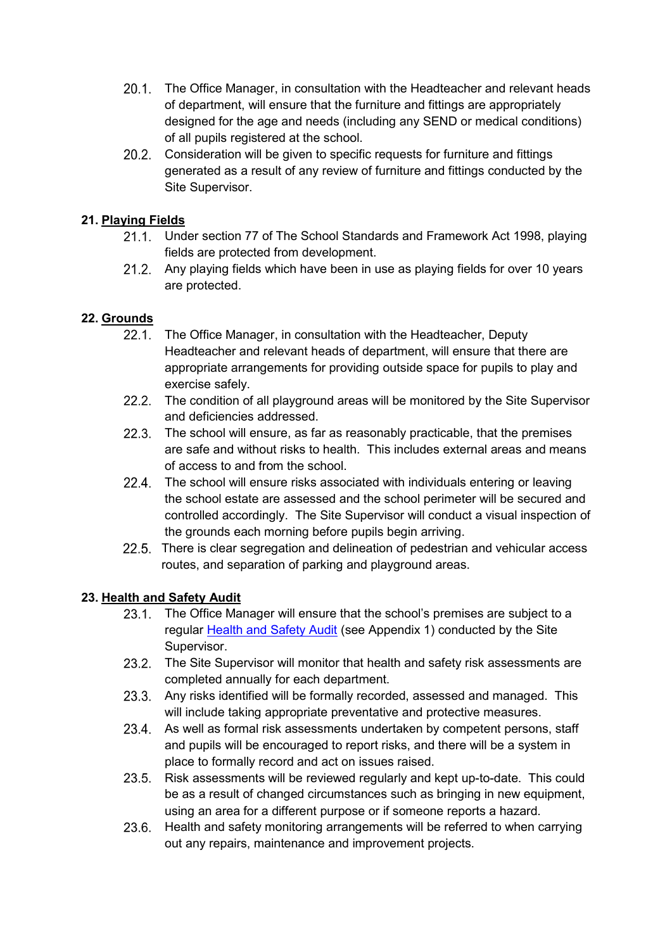- 20.1. The Office Manager, in consultation with the Headteacher and relevant heads of department, will ensure that the furniture and fittings are appropriately designed for the age and needs (including any SEND or medical conditions) of all pupils registered at the school.
- 20.2. Consideration will be given to specific requests for furniture and fittings generated as a result of any review of furniture and fittings conducted by the Site Supervisor.

#### **21. Playing Fields**

- 21.1. Under section 77 of The School Standards and Framework Act 1998, playing fields are protected from development.
- Any playing fields which have been in use as playing fields for over 10 years are protected.

#### **22. Grounds**

- 22.1. The Office Manager, in consultation with the Headteacher, Deputy Headteacher and relevant heads of department, will ensure that there are appropriate arrangements for providing outside space for pupils to play and exercise safely.
- 22.2. The condition of all playground areas will be monitored by the Site Supervisor and deficiencies addressed.
- 22.3. The school will ensure, as far as reasonably practicable, that the premises are safe and without risks to health. This includes external areas and means of access to and from the school.
- 22.4. The school will ensure risks associated with individuals entering or leaving the school estate are assessed and the school perimeter will be secured and controlled accordingly. The Site Supervisor will conduct a visual inspection of the grounds each morning before pupils begin arriving.
- 22.5. There is clear segregation and delineation of pedestrian and vehicular access routes, and separation of parking and playground areas.

#### **23. Health and Safety Audit**

- 23.1. The Office Manager will ensure that the school's premises are subject to a regular [Health and Safety Audit](#page-11-0) (see Appendix 1) conducted by the Site Supervisor.
- 23.2. The Site Supervisor will monitor that health and safety risk assessments are completed annually for each department.
- 23.3. Any risks identified will be formally recorded, assessed and managed. This will include taking appropriate preventative and protective measures.
- 23.4. As well as formal risk assessments undertaken by competent persons, staff and pupils will be encouraged to report risks, and there will be a system in place to formally record and act on issues raised.
- $23.5.$ Risk assessments will be reviewed regularly and kept up-to-date. This could be as a result of changed circumstances such as bringing in new equipment, using an area for a different purpose or if someone reports a hazard.
- 23.6. Health and safety monitoring arrangements will be referred to when carrying out any repairs, maintenance and improvement projects.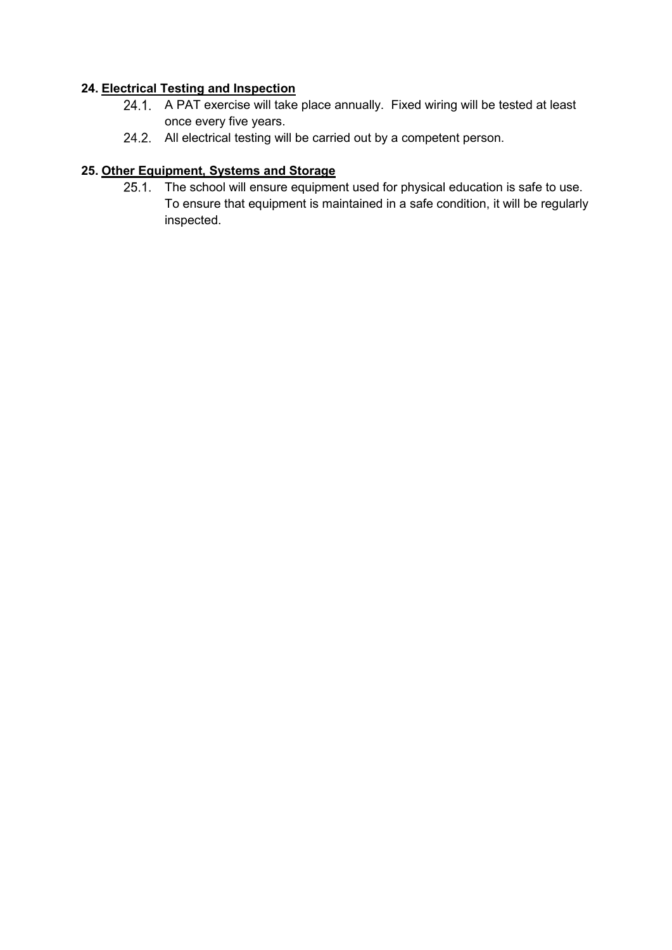#### **24. Electrical Testing and Inspection**

- 24.1. A PAT exercise will take place annually. Fixed wiring will be tested at least once every five years.
- 24.2. All electrical testing will be carried out by a competent person.

## **25. Other Equipment, Systems and Storage**

25.1. The school will ensure equipment used for physical education is safe to use. To ensure that equipment is maintained in a safe condition, it will be regularly inspected.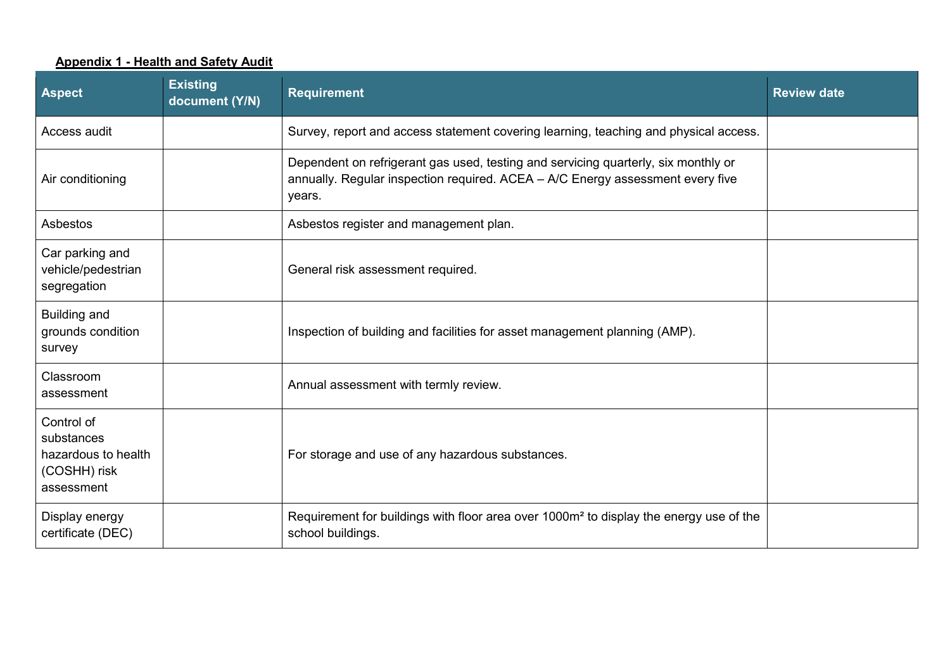#### **Appendix 1 - Health and Safety Audit**

<span id="page-11-0"></span>

| <b>Aspect</b>                                                                 | <b>Existing</b><br>document (Y/N) | <b>Requirement</b>                                                                                                                                                             | <b>Review date</b> |
|-------------------------------------------------------------------------------|-----------------------------------|--------------------------------------------------------------------------------------------------------------------------------------------------------------------------------|--------------------|
| Access audit                                                                  |                                   | Survey, report and access statement covering learning, teaching and physical access.                                                                                           |                    |
| Air conditioning                                                              |                                   | Dependent on refrigerant gas used, testing and servicing quarterly, six monthly or<br>annually. Regular inspection required. ACEA - A/C Energy assessment every five<br>years. |                    |
| Asbestos                                                                      |                                   | Asbestos register and management plan.                                                                                                                                         |                    |
| Car parking and<br>vehicle/pedestrian<br>segregation                          |                                   | General risk assessment required.                                                                                                                                              |                    |
| <b>Building and</b><br>grounds condition<br>survey                            |                                   | Inspection of building and facilities for asset management planning (AMP).                                                                                                     |                    |
| Classroom<br>assessment                                                       |                                   | Annual assessment with termly review.                                                                                                                                          |                    |
| Control of<br>substances<br>hazardous to health<br>(COSHH) risk<br>assessment |                                   | For storage and use of any hazardous substances.                                                                                                                               |                    |
| Display energy<br>certificate (DEC)                                           |                                   | Requirement for buildings with floor area over 1000m <sup>2</sup> to display the energy use of the<br>school buildings.                                                        |                    |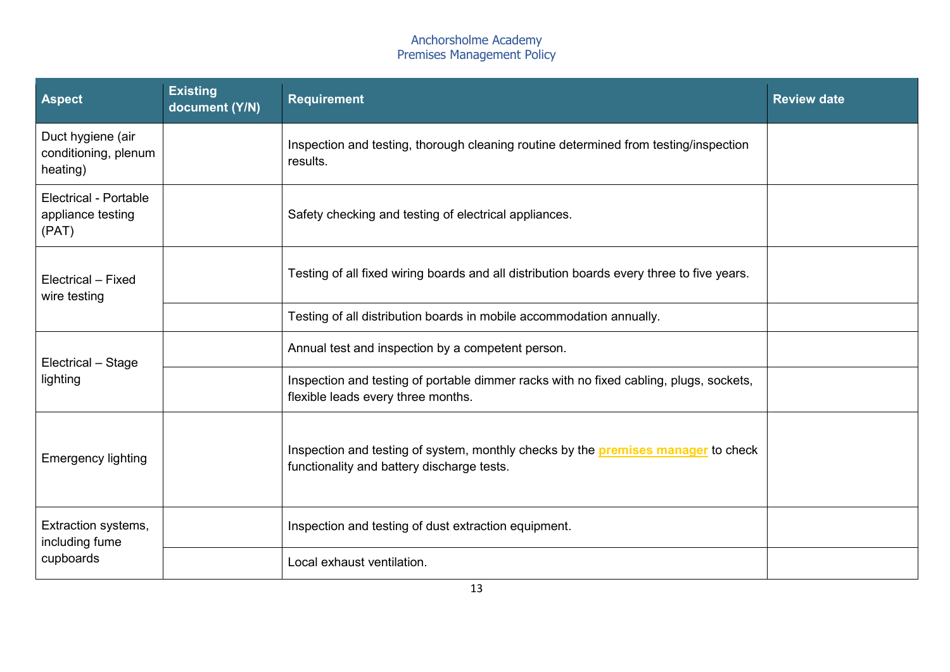| <b>Aspect</b>                                              | <b>Existing</b><br>document (Y/N) | <b>Requirement</b>                                                                                                                     | <b>Review date</b> |
|------------------------------------------------------------|-----------------------------------|----------------------------------------------------------------------------------------------------------------------------------------|--------------------|
| Duct hygiene (air<br>conditioning, plenum<br>heating)      |                                   | Inspection and testing, thorough cleaning routine determined from testing/inspection<br>results.                                       |                    |
| <b>Electrical - Portable</b><br>appliance testing<br>(PAT) |                                   | Safety checking and testing of electrical appliances.                                                                                  |                    |
| Electrical - Fixed<br>wire testing                         |                                   | Testing of all fixed wiring boards and all distribution boards every three to five years.                                              |                    |
|                                                            |                                   | Testing of all distribution boards in mobile accommodation annually.                                                                   |                    |
| Electrical - Stage                                         |                                   | Annual test and inspection by a competent person.                                                                                      |                    |
| lighting                                                   |                                   | Inspection and testing of portable dimmer racks with no fixed cabling, plugs, sockets,<br>flexible leads every three months.           |                    |
| <b>Emergency lighting</b>                                  |                                   | Inspection and testing of system, monthly checks by the <b>premises manager</b> to check<br>functionality and battery discharge tests. |                    |
| Extraction systems,<br>including fume                      |                                   | Inspection and testing of dust extraction equipment.                                                                                   |                    |
| cupboards                                                  |                                   | Local exhaust ventilation.                                                                                                             |                    |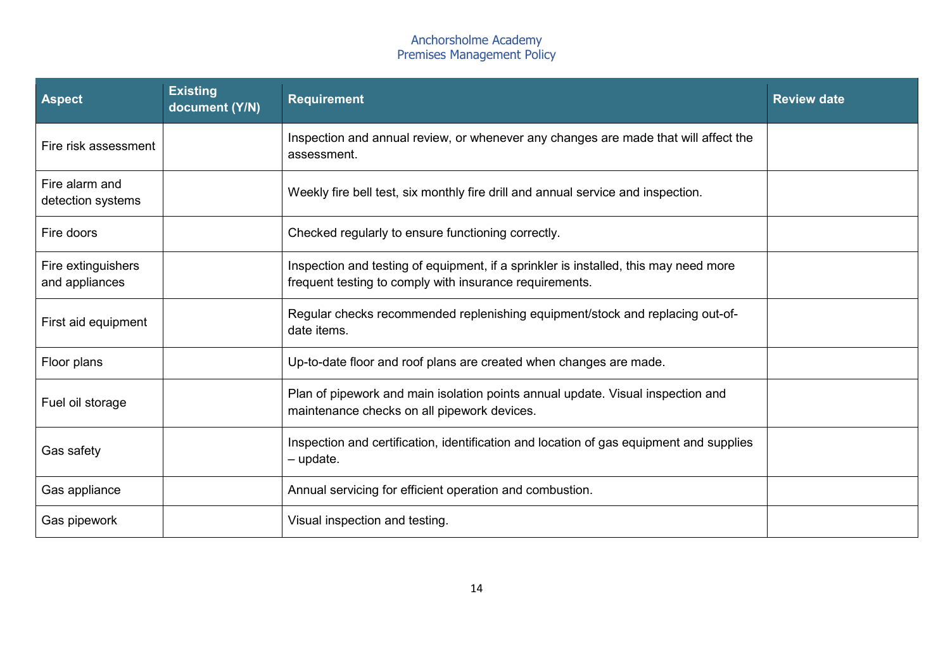| <b>Aspect</b>                        | <b>Existing</b><br>document (Y/N)                                                                                                               | <b>Requirement</b>                                                                                                             | <b>Review date</b> |
|--------------------------------------|-------------------------------------------------------------------------------------------------------------------------------------------------|--------------------------------------------------------------------------------------------------------------------------------|--------------------|
| Fire risk assessment                 |                                                                                                                                                 | Inspection and annual review, or whenever any changes are made that will affect the<br>assessment.                             |                    |
| Fire alarm and<br>detection systems  |                                                                                                                                                 | Weekly fire bell test, six monthly fire drill and annual service and inspection.                                               |                    |
| Fire doors                           |                                                                                                                                                 | Checked regularly to ensure functioning correctly.                                                                             |                    |
| Fire extinguishers<br>and appliances | Inspection and testing of equipment, if a sprinkler is installed, this may need more<br>frequent testing to comply with insurance requirements. |                                                                                                                                |                    |
| First aid equipment                  |                                                                                                                                                 | Regular checks recommended replenishing equipment/stock and replacing out-of-<br>date items.                                   |                    |
| Floor plans                          | Up-to-date floor and roof plans are created when changes are made.                                                                              |                                                                                                                                |                    |
| Fuel oil storage                     |                                                                                                                                                 | Plan of pipework and main isolation points annual update. Visual inspection and<br>maintenance checks on all pipework devices. |                    |
| Gas safety                           | Inspection and certification, identification and location of gas equipment and supplies<br>$-$ update.                                          |                                                                                                                                |                    |
| Gas appliance                        |                                                                                                                                                 | Annual servicing for efficient operation and combustion.                                                                       |                    |
| Gas pipework                         | Visual inspection and testing.                                                                                                                  |                                                                                                                                |                    |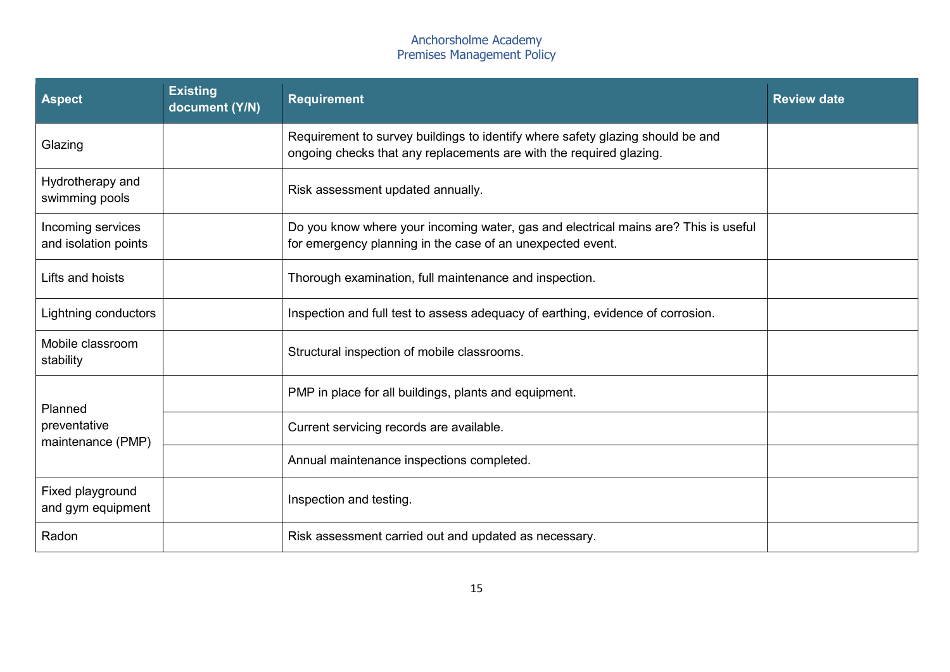| <b>Aspect</b>                             | <b>Existing</b><br>document (Y/N)                                                                                                                     | <b>Requirement</b>                                                                                                                                | <b>Review date</b> |
|-------------------------------------------|-------------------------------------------------------------------------------------------------------------------------------------------------------|---------------------------------------------------------------------------------------------------------------------------------------------------|--------------------|
| Glazing                                   | Requirement to survey buildings to identify where safety glazing should be and<br>ongoing checks that any replacements are with the required glazing. |                                                                                                                                                   |                    |
| Hydrotherapy and<br>swimming pools        |                                                                                                                                                       | Risk assessment updated annually.                                                                                                                 |                    |
| Incoming services<br>and isolation points |                                                                                                                                                       | Do you know where your incoming water, gas and electrical mains are? This is useful<br>for emergency planning in the case of an unexpected event. |                    |
| Lifts and hoists                          | Thorough examination, full maintenance and inspection.                                                                                                |                                                                                                                                                   |                    |
| Lightning conductors                      |                                                                                                                                                       | Inspection and full test to assess adequacy of earthing, evidence of corrosion.                                                                   |                    |
| Mobile classroom<br>stability             |                                                                                                                                                       | Structural inspection of mobile classrooms.                                                                                                       |                    |
| Planned                                   |                                                                                                                                                       | PMP in place for all buildings, plants and equipment.                                                                                             |                    |
| preventative<br>maintenance (PMP)         |                                                                                                                                                       | Current servicing records are available.                                                                                                          |                    |
|                                           |                                                                                                                                                       | Annual maintenance inspections completed.                                                                                                         |                    |
| Fixed playground<br>and gym equipment     | Inspection and testing.                                                                                                                               |                                                                                                                                                   |                    |
| Radon                                     |                                                                                                                                                       | Risk assessment carried out and updated as necessary.                                                                                             |                    |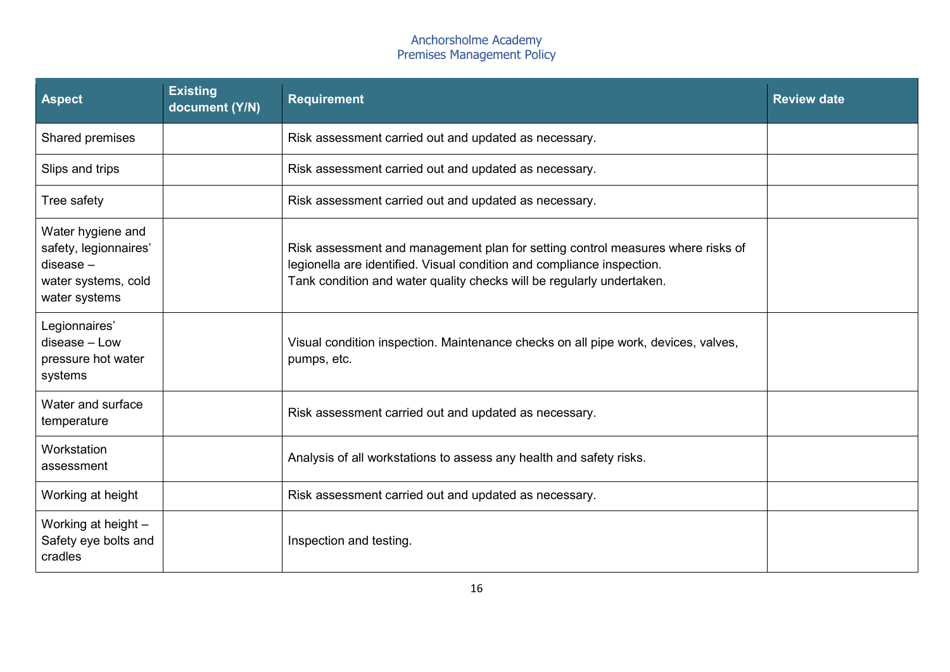| <b>Aspect</b>                                                                                     | <b>Existing</b><br>document (Y/N) | <b>Requirement</b>                                                                                                                                                                                                                 | <b>Review date</b> |
|---------------------------------------------------------------------------------------------------|-----------------------------------|------------------------------------------------------------------------------------------------------------------------------------------------------------------------------------------------------------------------------------|--------------------|
| Shared premises                                                                                   |                                   | Risk assessment carried out and updated as necessary.                                                                                                                                                                              |                    |
| Slips and trips                                                                                   |                                   | Risk assessment carried out and updated as necessary.                                                                                                                                                                              |                    |
| Tree safety                                                                                       |                                   | Risk assessment carried out and updated as necessary.                                                                                                                                                                              |                    |
| Water hygiene and<br>safety, legionnaires'<br>$disease -$<br>water systems, cold<br>water systems |                                   | Risk assessment and management plan for setting control measures where risks of<br>legionella are identified. Visual condition and compliance inspection.<br>Tank condition and water quality checks will be regularly undertaken. |                    |
| Legionnaires'<br>disease - Low<br>pressure hot water<br>systems                                   |                                   | Visual condition inspection. Maintenance checks on all pipe work, devices, valves,<br>pumps, etc.                                                                                                                                  |                    |
| Water and surface<br>temperature                                                                  |                                   | Risk assessment carried out and updated as necessary.                                                                                                                                                                              |                    |
| Workstation<br>assessment                                                                         |                                   | Analysis of all workstations to assess any health and safety risks.                                                                                                                                                                |                    |
| Working at height                                                                                 |                                   | Risk assessment carried out and updated as necessary.                                                                                                                                                                              |                    |
| Working at height -<br>Safety eye bolts and<br>cradles                                            |                                   | Inspection and testing.                                                                                                                                                                                                            |                    |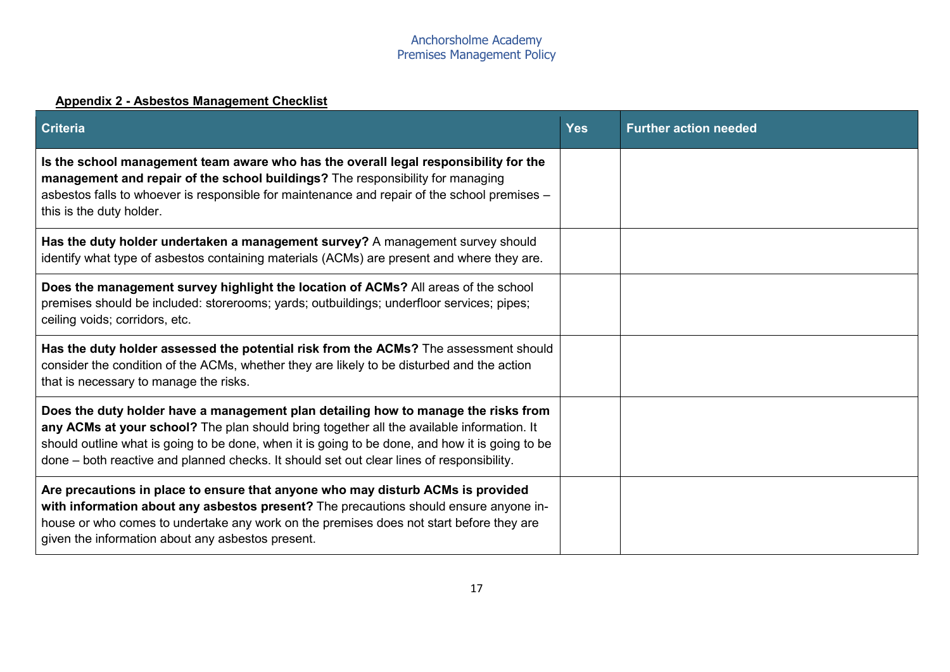## **Appendix 2 - Asbestos Management Checklist**

<span id="page-16-0"></span>

| <b>Criteria</b>                                                                                                                                                                                                                                                                                                                                                                 | <b>Yes</b> | <b>Further action needed</b> |
|---------------------------------------------------------------------------------------------------------------------------------------------------------------------------------------------------------------------------------------------------------------------------------------------------------------------------------------------------------------------------------|------------|------------------------------|
| Is the school management team aware who has the overall legal responsibility for the<br>management and repair of the school buildings? The responsibility for managing<br>asbestos falls to whoever is responsible for maintenance and repair of the school premises -<br>this is the duty holder.                                                                              |            |                              |
| Has the duty holder undertaken a management survey? A management survey should<br>identify what type of asbestos containing materials (ACMs) are present and where they are.                                                                                                                                                                                                    |            |                              |
| Does the management survey highlight the location of ACMs? All areas of the school<br>premises should be included: storerooms; yards; outbuildings; underfloor services; pipes;<br>ceiling voids; corridors, etc.                                                                                                                                                               |            |                              |
| Has the duty holder assessed the potential risk from the ACMs? The assessment should<br>consider the condition of the ACMs, whether they are likely to be disturbed and the action<br>that is necessary to manage the risks.                                                                                                                                                    |            |                              |
| Does the duty holder have a management plan detailing how to manage the risks from<br>any ACMs at your school? The plan should bring together all the available information. It<br>should outline what is going to be done, when it is going to be done, and how it is going to be<br>done – both reactive and planned checks. It should set out clear lines of responsibility. |            |                              |
| Are precautions in place to ensure that anyone who may disturb ACMs is provided<br>with information about any asbestos present? The precautions should ensure anyone in-<br>house or who comes to undertake any work on the premises does not start before they are<br>given the information about any asbestos present.                                                        |            |                              |